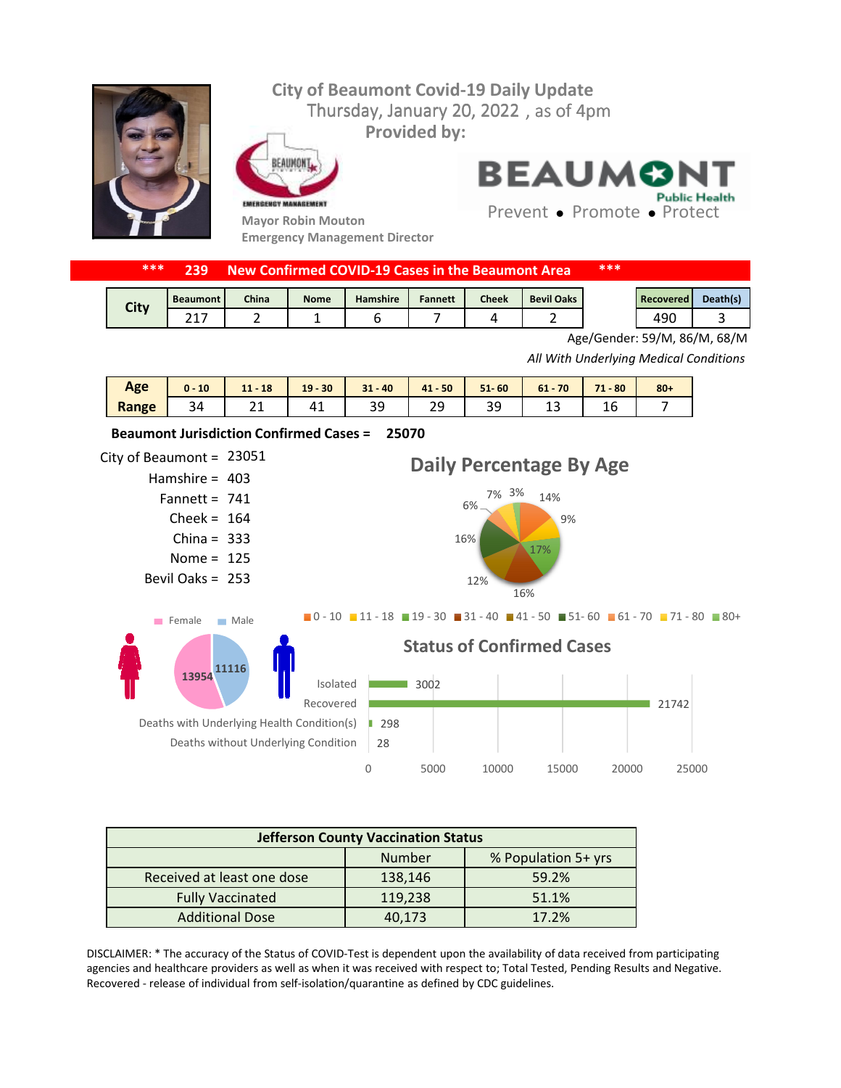## **City of Beaumont Covid-19 Daily Update** Thursday, January 20, 2022, as of 4pm **Provided by:** FAIIMON **BEAUMON Public Health** EMERGENCY MANAGEMENT Prevent • Promote • Protect **Mayor Robin Mouton Emergency Management Director**



| <b>City</b> | <b>Beaumont</b> | China | <b>Nome</b> | <b>Hamshire</b> | <b>Fannett</b> | <b>Cheek</b> | <b>Bevil Oaks</b> | <b>Recovered</b> | Death(s) |
|-------------|-----------------|-------|-------------|-----------------|----------------|--------------|-------------------|------------------|----------|
|             |                 |       |             |                 |                |              |                   | 490              |          |

Age/Gender: 59/M, 86/M, 68/M

*All With Underlying Medical Conditions*

| Age   | 10<br>$0 -$ | $11 - 18$ | $19 - 30$ | $31 - 40$ | 41 50 | $51 - 60$ | $61 - 70$ | $71 - 80$ | $80 +$ |
|-------|-------------|-----------|-----------|-----------|-------|-----------|-----------|-----------|--------|
| Range | 34          | --        | 41        | ر ر       | ت ک   | ٩q<br>--  | --        | ⊥∪        |        |



| <b>Jefferson County Vaccination Status</b> |         |                     |  |  |  |
|--------------------------------------------|---------|---------------------|--|--|--|
|                                            | Number  | % Population 5+ yrs |  |  |  |
| Received at least one dose                 | 138,146 | 59.2%               |  |  |  |
| <b>Fully Vaccinated</b>                    | 119,238 | 51.1%               |  |  |  |
| <b>Additional Dose</b>                     | 40,173  | 17.2%               |  |  |  |

DISCLAIMER: \* The accuracy of the Status of COVID-Test is dependent upon the availability of data received from participating agencies and healthcare providers as well as when it was received with respect to; Total Tested, Pending Results and Negative. Recovered - release of individual from self-isolation/quarantine as defined by CDC guidelines.